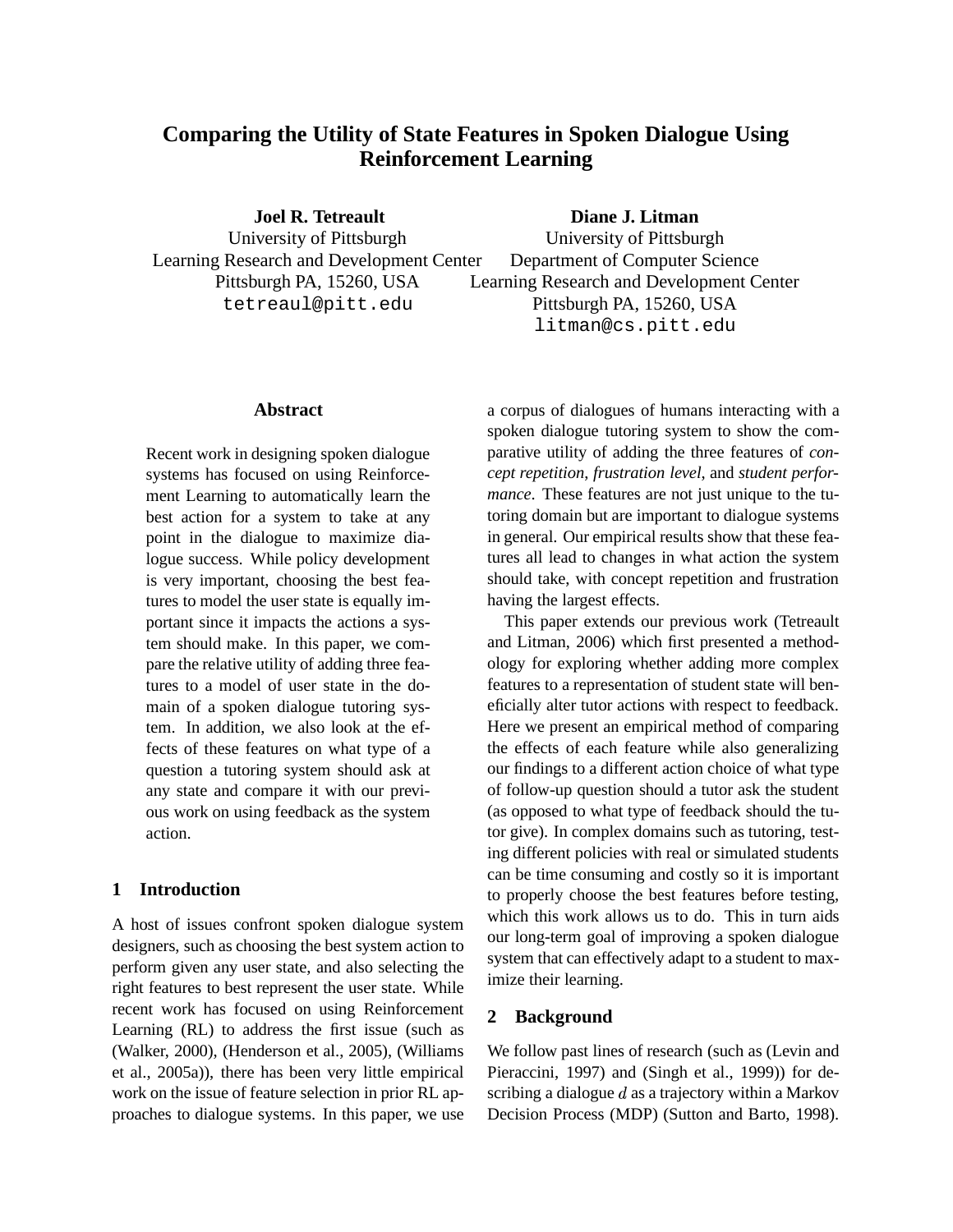# **Comparing the Utility of State Features in Spoken Dialogue Using Reinforcement Learning**

**Joel R. Tetreault** University of Pittsburgh Learning Research and Development Center Pittsburgh PA, 15260, USA tetreaul@pitt.edu

**Diane J. Litman**

University of Pittsburgh Department of Computer Science Learning Research and Development Center Pittsburgh PA, 15260, USA litman@cs.pitt.edu

### **Abstract**

Recent work in designing spoken dialogue systems has focused on using Reinforcement Learning to automatically learn the best action for a system to take at any point in the dialogue to maximize dialogue success. While policy development is very important, choosing the best features to model the user state is equally important since it impacts the actions a system should make. In this paper, we compare the relative utility of adding three features to a model of user state in the domain of a spoken dialogue tutoring system. In addition, we also look at the effects of these features on what type of a question a tutoring system should ask at any state and compare it with our previous work on using feedback as the system action.

# **1 Introduction**

A host of issues confront spoken dialogue system designers, such as choosing the best system action to perform given any user state, and also selecting the right features to best represent the user state. While recent work has focused on using Reinforcement Learning (RL) to address the first issue (such as (Walker, 2000), (Henderson et al., 2005), (Williams et al., 2005a)), there has been very little empirical work on the issue of feature selection in prior RL approaches to dialogue systems. In this paper, we use

a corpus of dialogues of humans interacting with a spoken dialogue tutoring system to show the comparative utility of adding the three features of *concept repetition*, *frustration level*, and *student performance*. These features are not just unique to the tutoring domain but are important to dialogue systems in general. Our empirical results show that these features all lead to changes in what action the system should take, with concept repetition and frustration having the largest effects.

This paper extends our previous work (Tetreault and Litman, 2006) which first presented a methodology for exploring whether adding more complex features to a representation of student state will beneficially alter tutor actions with respect to feedback. Here we present an empirical method of comparing the effects of each feature while also generalizing our findings to a different action choice of what type of follow-up question should a tutor ask the student (as opposed to what type of feedback should the tutor give). In complex domains such as tutoring, testing different policies with real or simulated students can be time consuming and costly so it is important to properly choose the best features before testing, which this work allows us to do. This in turn aids our long-term goal of improving a spoken dialogue system that can effectively adapt to a student to maximize their learning.

# **2 Background**

We follow past lines of research (such as (Levin and Pieraccini, 1997) and (Singh et al., 1999)) for describing a dialogue  $d$  as a trajectory within a Markov Decision Process (MDP) (Sutton and Barto, 1998).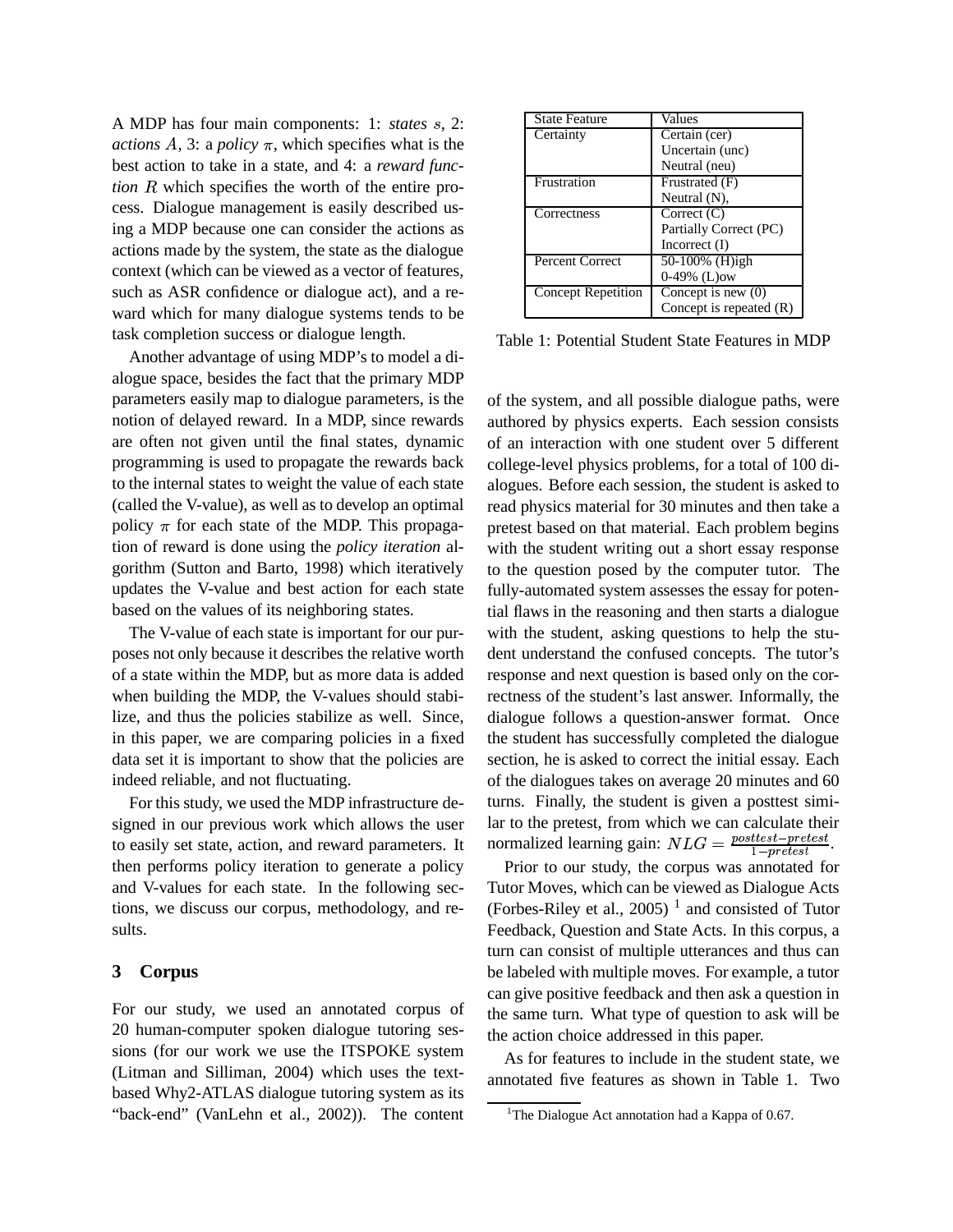A MDP has four main components: 1: *states* s, 2: *actions*  $A$ , 3: a *policy*  $\pi$ , which specifies what is the best action to take in a state, and 4: a *reward func-* $$ cess. Dialogue management is easily described using a MDP because one can consider the actions as actions made by the system, the state as the dialogue context (which can be viewed as a vector of features, such as ASR confidence or dialogue act), and a reward which for many dialogue systems tends to be task completion success or dialogue length.

Another advantage of using MDP's to model a dialogue space, besides the fact that the primary MDP parameters easily map to dialogue parameters, is the notion of delayed reward. In a MDP, since rewards are often not given until the final states, dynamic programming is used to propagate the rewards back to the internal states to weight the value of each state (called the V-value), as well as to develop an optimal policy  $\pi$  for each state of the MDP. This propagation of reward is done using the *policy iteration* algorithm (Sutton and Barto, 1998) which iteratively updates the V-value and best action for each state based on the values of its neighboring states.

The V-value of each state is important for our purposes not only because it describes the relative worth of a state within the MDP, but as more data is added when building the MDP, the V-values should stabilize, and thus the policies stabilize as well. Since, in this paper, we are comparing policies in a fixed data set it is important to show that the policies are indeed reliable, and not fluctuating.

For this study, we used the MDP infrastructure designed in our previous work which allows the user to easily set state, action, and reward parameters. It then performs policy iteration to generate a policy and V-values for each state. In the following sections, we discuss our corpus, methodology, and results.

### **3 Corpus**

For our study, we used an annotated corpus of 20 human-computer spoken dialogue tutoring sessions (for our work we use the ITSPOKE system (Litman and Silliman, 2004) which uses the textbased Why2-ATLAS dialogue tutoring system as its "back-end" (VanLehn et al., 2002)). The content

| <b>State Feature</b>      | Values                    |
|---------------------------|---------------------------|
| Certainty                 | Certain (cer)             |
|                           | Uncertain (unc)           |
|                           | Neutral (neu)             |
| Frustration               | Frustrated (F)            |
|                           | Neutral $(N)$ ,           |
| Correctness               | Correct $(C)$             |
|                           | Partially Correct (PC)    |
|                           | Incorrect $(I)$           |
| <b>Percent Correct</b>    | 50-100% (H)igh            |
|                           | $0-49\%$ (L)ow            |
| <b>Concept Repetition</b> | Concept is new $(0)$      |
|                           | Concept is repeated $(R)$ |

Table 1: Potential Student State Features in MDP

of the system, and all possible dialogue paths, were authored by physics experts. Each session consists of an interaction with one student over 5 different college-level physics problems, for a total of 100 dialogues. Before each session, the student is asked to read physics material for 30 minutes and then take a pretest based on that material. Each problem begins with the student writing out a short essay response to the question posed by the computer tutor. The fully-automated system assesses the essay for potential flaws in the reasoning and then starts a dialogue with the student, asking questions to help the student understand the confused concepts. The tutor's response and next question is based only on the correctness of the student's last answer. Informally, the dialogue follows a question-answer format. Once the student has successfully completed the dialogue section, he is asked to correct the initial essay. Each of the dialogues takes on average 20 minutes and 60 turns. Finally, the student is given a posttest similar to the pretest, from which we can calculate their normalized learning gain:  $NLG = \frac{posttest - pretest}{1 - pretest}$ .

Prior to our study, the corpus was annotated for Tutor Moves, which can be viewed as Dialogue Acts (Forbes-Riley et al., 2005)<sup>1</sup> and consisted of Tutor Feedback, Question and State Acts. In this corpus, a turn can consist of multiple utterances and thus can be labeled with multiple moves. For example, a tutor can give positive feedback and then ask a question in the same turn. What type of question to ask will be the action choice addressed in this paper.

As for features to include in the student state, we annotated five features as shown in Table 1. Two

<sup>&</sup>lt;sup>1</sup>The Dialogue Act annotation had a Kappa of 0.67.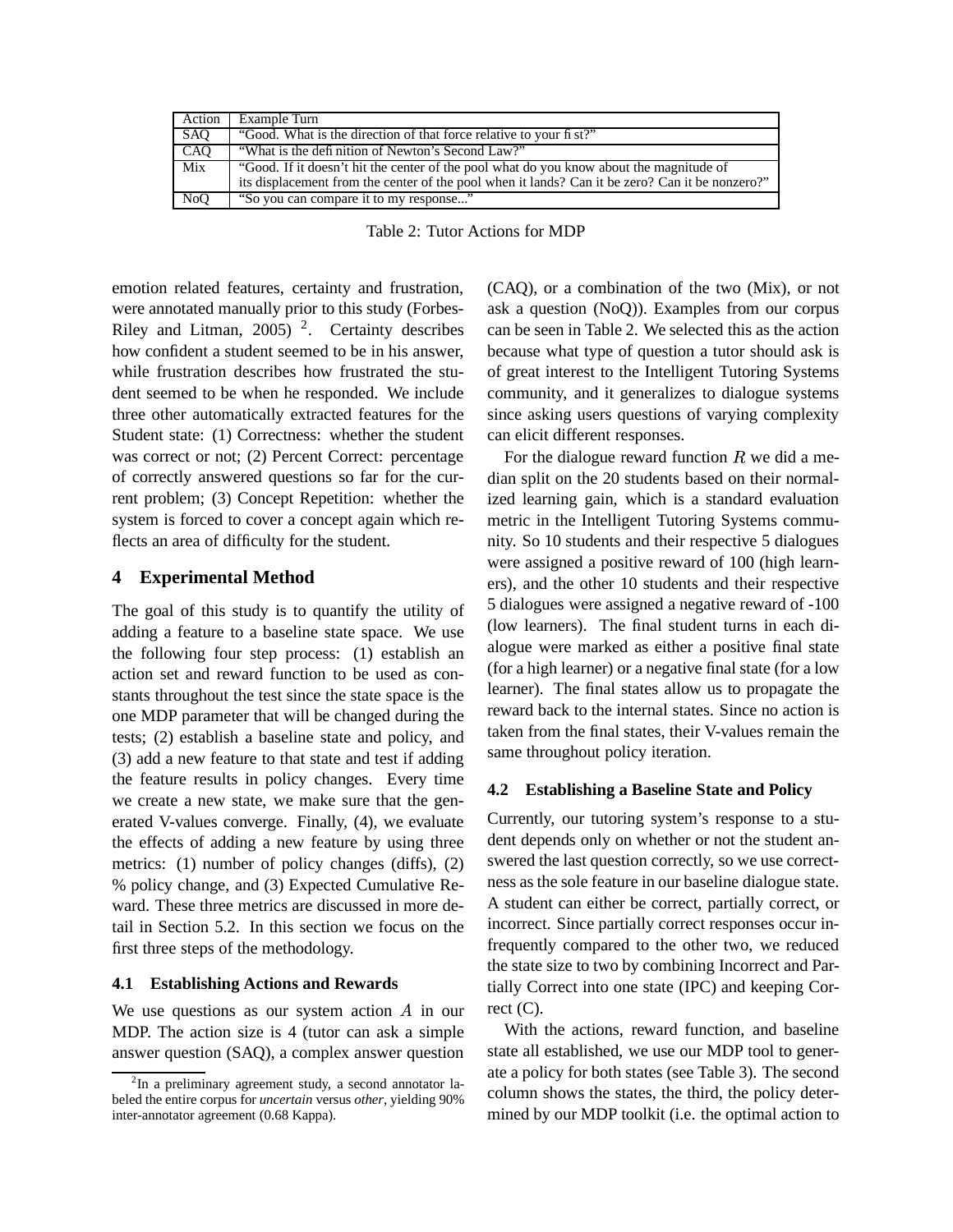| Action           | Example Turn                                                                                    |
|------------------|-------------------------------------------------------------------------------------------------|
| SAO              | "Good. What is the direction of that force relative to your fi st?"                             |
| CAO              | "What is the definition of Newton's Second Law?"                                                |
| Mix              | "Good. If it doesn't hit the center of the pool what do you know about the magnitude of         |
|                  | its displacement from the center of the pool when it lands? Can it be zero? Can it be nonzero?" |
| N <sub>o</sub> O | "So you can compare it to my response"                                                          |

Table 2: Tutor Actions for MDP

emotion related features, certainty and frustration, were annotated manually prior to this study (Forbes-Riley and Litman, 2005)<sup>2</sup>. Certainty describes how confident a student seemed to be in his answer, while frustration describes how frustrated the student seemed to be when he responded. We include three other automatically extracted features for the Student state: (1) Correctness: whether the student was correct or not; (2) Percent Correct: percentage of correctly answered questions so far for the current problem; (3) Concept Repetition: whether the system is forced to cover a concept again which reflects an area of difficulty for the student.

### **4 Experimental Method**

The goal of this study is to quantify the utility of adding a feature to a baseline state space. We use the following four step process: (1) establish an action set and reward function to be used as constants throughout the test since the state space is the one MDP parameter that will be changed during the tests; (2) establish a baseline state and policy, and (3) add a new feature to that state and test if adding the feature results in policy changes. Every time we create a new state, we make sure that the generated V-values converge. Finally, (4), we evaluate the effects of adding a new feature by using three metrics: (1) number of policy changes (diffs), (2) % policy change, and (3) Expected Cumulative Reward. These three metrics are discussed in more detail in Section 5.2. In this section we focus on the first three steps of the methodology.

### **4.1 Establishing Actions and Rewards**

We use questions as our system action  $A$  in our rect MDP. The action size is 4 (tutor can ask a simple answer question (SAQ), a complex answer question

(CAQ), or a combination of the two (Mix), or not ask a question (NoQ)). Examples from our corpus can be seen in Table 2. We selected this as the action because what type of question a tutor should ask is of great interest to the Intelligent Tutoring Systems community, and it generalizes to dialogue systems since asking users questions of varying complexity can elicit different responses.

For the dialogue reward function  $R$  we did a median split on the 20 students based on their normalized learning gain, which is a standard evaluation metric in the Intelligent Tutoring Systems community. So 10 students and their respective 5 dialogues were assigned a positive reward of 100 (high learners), and the other 10 students and their respective 5 dialogues were assigned a negative reward of -100 (low learners). The final student turns in each dialogue were marked as either a positive final state (for a high learner) or a negative final state (for a low learner). The final states allow us to propagate the reward back to the internal states. Since no action is taken from the final states, their V-values remain the same throughout policy iteration.

#### **4.2 Establishing a Baseline State and Policy**

Currently, our tutoring system's response to a student depends only on whether or not the student answered the last question correctly, so we use correctness as the sole feature in our baseline dialogue state. A student can either be correct, partially correct, or incorrect. Since partially correct responses occur infrequently compared to the other two, we reduced the state size to two by combining Incorrect and Partially Correct into one state (IPC) and keeping Correct  $(C)$ .

With the actions, reward function, and baseline state all established, we use our MDP tool to generate a policy for both states (see Table 3). The second column shows the states, the third, the policy determined by our MDP toolkit (i.e. the optimal action to

<sup>&</sup>lt;sup>2</sup>In a preliminary agreement study, a second annotator labeled the entire corpus for *uncertain* versus *other*, yielding 90% inter-annotator agreement (0.68 Kappa).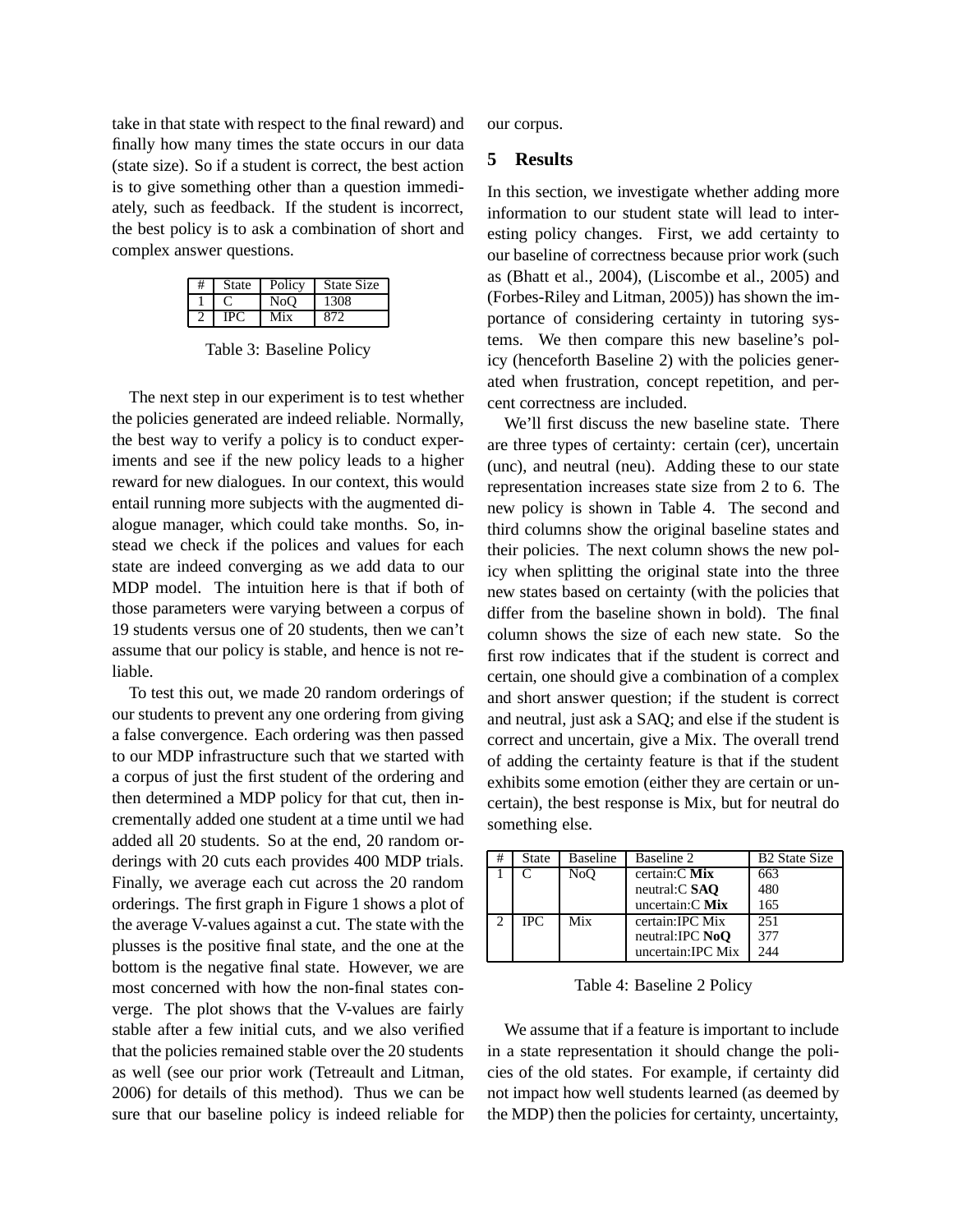take in that state with respect to the final reward) and finally how many times the state occurs in our data (state size). So if a student is correct, the best action is to give something other than a question immediately, such as feedback. If the student is incorrect, the best policy is to ask a combination of short and complex answer questions.

| State | Policy           | <b>State Size</b> |
|-------|------------------|-------------------|
|       | N <sub>o</sub> O | 1308              |
|       |                  |                   |

Table 3: Baseline Policy

The next step in our experiment is to test whether the policies generated are indeed reliable. Normally, the best way to verify a policy is to conduct experiments and see if the new policy leads to a higher reward for new dialogues. In our context, this would entail running more subjects with the augmented dialogue manager, which could take months. So, instead we check if the polices and values for each state are indeed converging as we add data to our MDP model. The intuition here is that if both of those parameters were varying between a corpus of 19 students versus one of 20 students, then we can't assume that our policy is stable, and hence is not reliable.

To test this out, we made 20 random orderings of our students to prevent any one ordering from giving a false convergence. Each ordering was then passed to our MDP infrastructure such that we started with a corpus of just the first student of the ordering and then determined a MDP policy for that cut, then incrementally added one student at a time until we had added all 20 students. So at the end, 20 random orderings with 20 cuts each provides 400 MDP trials. Finally, we average each cut across the 20 random orderings. The first graph in Figure 1 shows a plot of the average V-values against a cut. The state with the plusses is the positive final state, and the one at the bottom is the negative final state. However, we are most concerned with how the non-final states converge. The plot shows that the V-values are fairly stable after a few initial cuts, and we also verified that the policies remained stable over the 20 students as well (see our prior work (Tetreault and Litman, 2006) for details of this method). Thus we can be sure that our baseline policy is indeed reliable for our corpus.

#### **5 Results**

In this section, we investigate whether adding more information to our student state will lead to interesting policy changes. First, we add certainty to our baseline of correctness because prior work (such as (Bhatt et al., 2004), (Liscombe et al., 2005) and (Forbes-Riley and Litman, 2005)) has shown the importance of considering certainty in tutoring systems. We then compare this new baseline's policy (henceforth Baseline 2) with the policies generated when frustration, concept repetition, and percent correctness are included.

We'll first discuss the new baseline state. There are three types of certainty: certain (cer), uncertain (unc), and neutral (neu). Adding these to our state representation increases state size from 2 to 6. The new policy is shown in Table 4. The second and third columns show the original baseline states and their policies. The next column shows the new policy when splitting the original state into the three new states based on certainty (with the policies that differ from the baseline shown in bold). The final column shows the size of each new state. So the first row indicates that if the student is correct and certain, one should give a combination of a complex and short answer question; if the student is correct and neutral, just ask a SAQ; and else if the student is correct and uncertain, give a Mix. The overall trend of adding the certainty feature is that if the student exhibits some emotion (either they are certain or uncertain), the best response is Mix, but for neutral do something else.

| <b>State</b> | <b>Baseline</b> | Baseline 2         | <b>B2</b> State Size |
|--------------|-----------------|--------------------|----------------------|
|              | NoO             | certain: C Mix     | 663                  |
|              |                 | neutral:C SAO      | 480                  |
|              |                 | uncertain: $C$ Mix | 165                  |
| <b>IPC</b>   | Mix             | certain: IPC Mix   | 251                  |
|              |                 | neutral:IPC NoO    | 377                  |
|              |                 | uncertain: IPC Mix | 244                  |

Table 4: Baseline 2 Policy

We assume that if a feature is important to include in a state representation it should change the policies of the old states. For example, if certainty did not impact how well students learned (as deemed by the MDP) then the policies for certainty, uncertainty,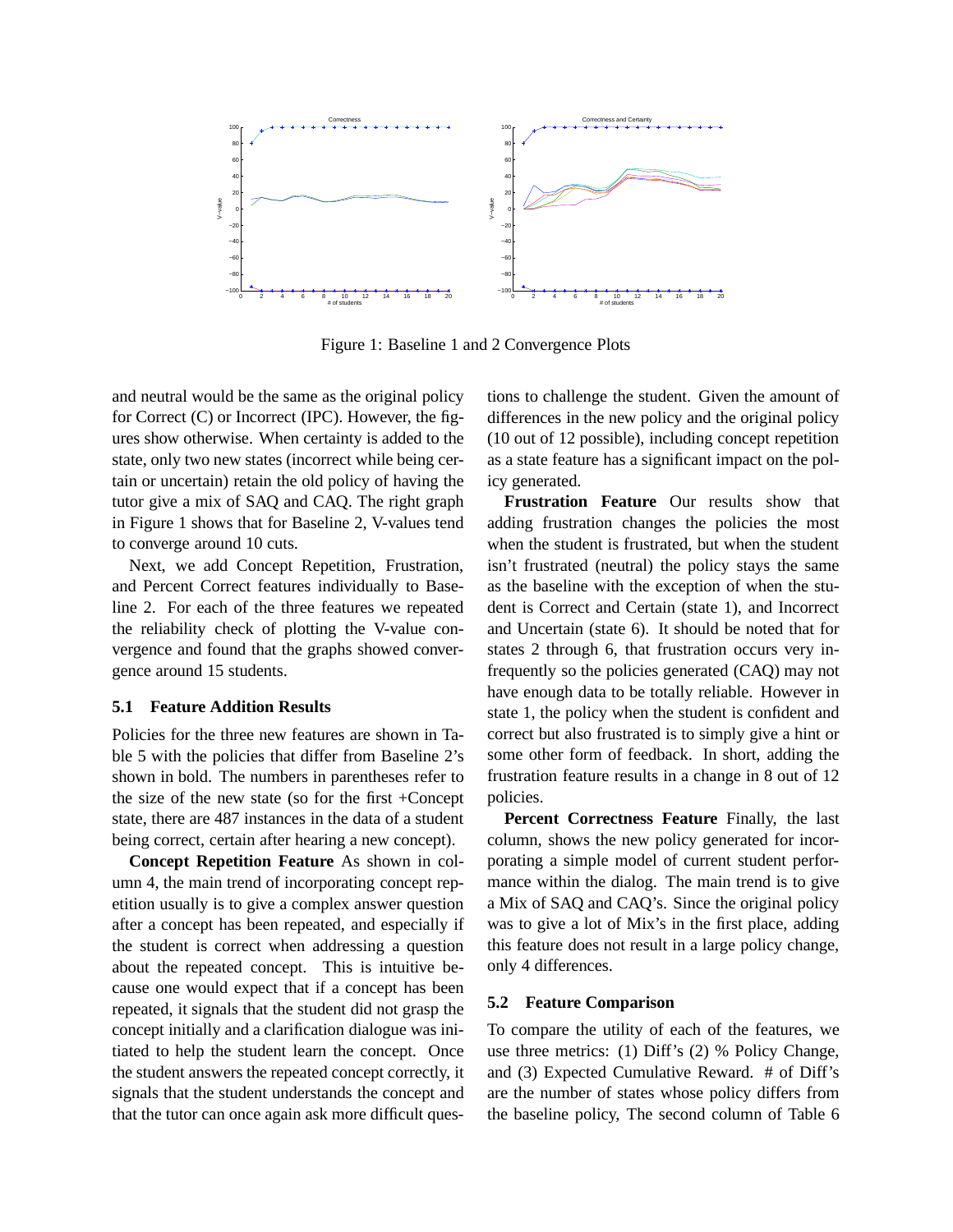

Figure 1: Baseline 1 and 2 Convergence Plots

and neutral would be the same as the original policy for Correct (C) or Incorrect (IPC). However, the figures show otherwise. When certainty is added to the state, only two new states (incorrect while being certain or uncertain) retain the old policy of having the tutor give a mix of SAQ and CAQ. The right graph in Figure 1 shows that for Baseline 2, V-values tend to converge around 10 cuts.

Next, we add Concept Repetition, Frustration, and Percent Correct features individually to Baseline 2. For each of the three features we repeated the reliability check of plotting the V-value convergence and found that the graphs showed convergence around 15 students.

#### **5.1 Feature Addition Results**

Policies for the three new features are shown in Table 5 with the policies that differ from Baseline 2's shown in bold. The numbers in parentheses refer to the size of the new state (so for the first +Concept state, there are 487 instances in the data of a student being correct, certain after hearing a new concept).

**Concept Repetition Feature** As shown in column 4, the main trend of incorporating concept repetition usually is to give a complex answer question after a concept has been repeated, and especially if the student is correct when addressing a question about the repeated concept. This is intuitive because one would expect that if a concept has been repeated, it signals that the student did not grasp the concept initially and a clarification dialogue was initiated to help the student learn the concept. Once the student answers the repeated concept correctly, it signals that the student understands the concept and that the tutor can once again ask more difficult questions to challenge the student. Given the amount of differences in the new policy and the original policy (10 out of 12 possible), including concept repetition as a state feature has a significant impact on the policy generated.

**Frustration Feature** Our results show that adding frustration changes the policies the most when the student is frustrated, but when the student isn't frustrated (neutral) the policy stays the same as the baseline with the exception of when the student is Correct and Certain (state 1), and Incorrect and Uncertain (state 6). It should be noted that for states 2 through 6, that frustration occurs very infrequently so the policies generated (CAQ) may not have enough data to be totally reliable. However in state 1, the policy when the student is confident and correct but also frustrated is to simply give a hint or some other form of feedback. In short, adding the frustration feature results in a change in 8 out of 12 policies.

**Percent Correctness Feature** Finally, the last column, shows the new policy generated for incorporating a simple model of current student performance within the dialog. The main trend is to give a Mix of SAQ and CAQ's. Since the original policy was to give a lot of Mix's in the first place, adding this feature does not result in a large policy change, only 4 differences.

#### **5.2 Feature Comparison**

To compare the utility of each of the features, we use three metrics: (1) Diff's (2) % Policy Change, and (3) Expected Cumulative Reward. # of Diff's are the number of states whose policy differs from the baseline policy, The second column of Table 6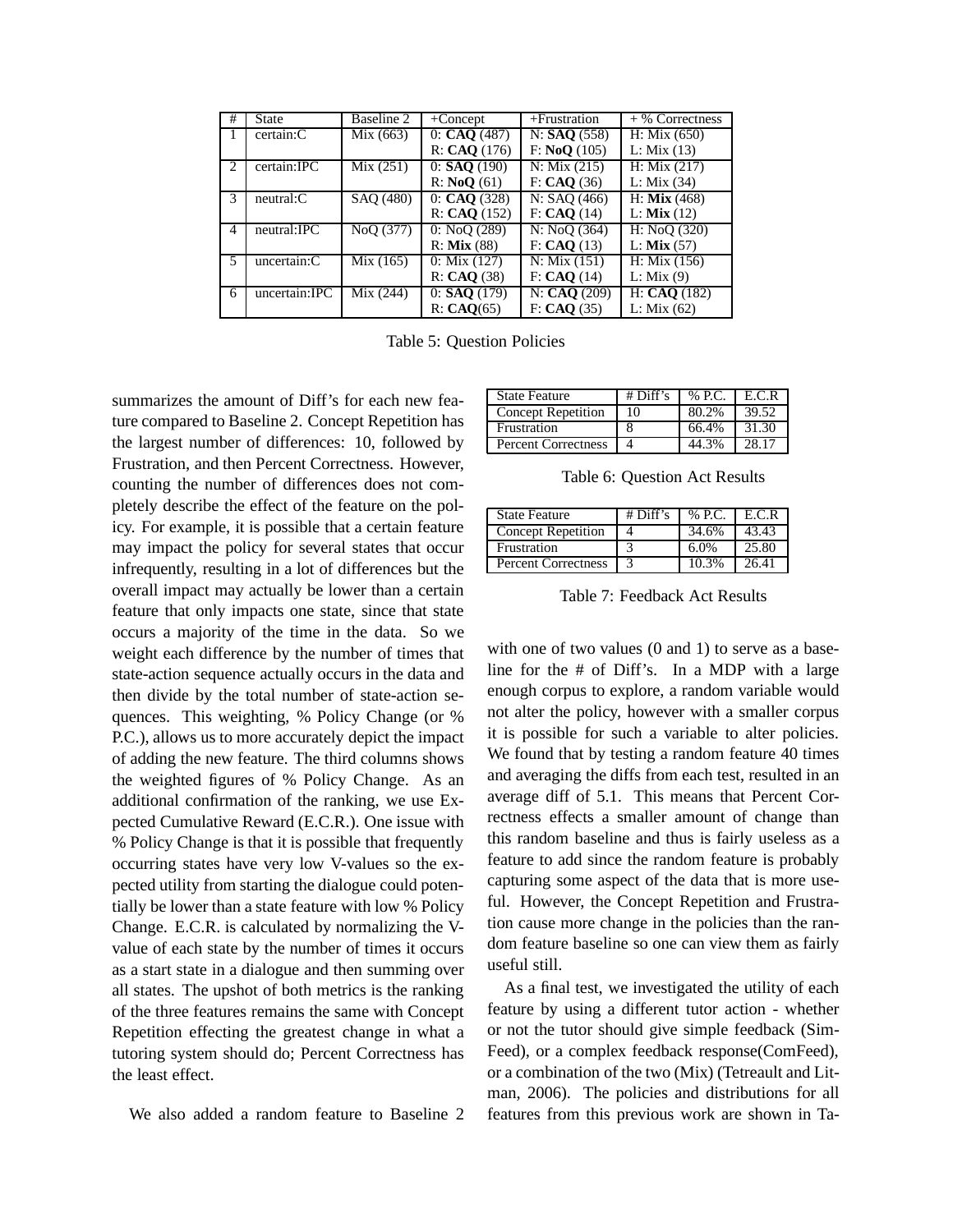| #                           | <b>State</b>     | Baseline 2 | $+$ Concept      | $+$ Frustration | $+$ % Correctness         |
|-----------------------------|------------------|------------|------------------|-----------------|---------------------------|
| л.                          | certain:C        | Mix(663)   | 0: CAO (487)     | N: SAO (558)    | H: Mix(650)               |
|                             |                  |            | R: CAO(176)      | F: NoO(105)     | L: Mix(13)                |
| $\mathcal{D}_{\mathcal{L}}$ | certain: IPC     | Mix(251)   | $0:$ SAO $(190)$ | N: Mix(215)     | H: Mix(217)               |
|                             |                  |            | R: NoO(61)       | F: CAO (36)     | L: Mix(34)                |
| $\mathcal{R}$               | $neutrals$ : $C$ | SAO (480)  | 0: CAO (328)     | N: SAO (466)    | $H:$ Mix (468)            |
|                             |                  |            | R: CAO(152)      | F: CAO(14)      | $L:$ Mix $(12)$           |
| 4                           | neutral: IPC     | NoO (377)  | 0: NoO(289)      | N: NoO(364)     | H: NoO(320)               |
|                             |                  |            | $R:$ Mix $(88)$  | F: CAO(13)      | $L:$ Mix $(57)$           |
| 5                           | uncertain:C      | Mix(165)   | 0: Mix(127)      | N: Mix(151)     | H: Mix(156)               |
|                             |                  |            | R: CAO(38)       | F: CAO(14)      | L: Mix(9)                 |
| 6                           | uncertain:IPC    | Mix (244)  | $0:$ SAO $(179)$ | N: CAO(209)     | $\overline{H: CAQ}$ (182) |
|                             |                  |            | R: CAO(65)       | F: CAO (35)     | L: Mix $(62)$             |

Table 5: Question Policies

summarizes the amount of Diff's for each new feature compared to Baseline 2. Concept Repetition has the largest number of differences: 10, followed by Frustration, and then Percent Correctness. However, counting the number of differences does not completely describe the effect of the feature on the policy. For example, it is possible that a certain feature may impact the policy for several states that occur infrequently, resulting in a lot of differences but the overall impact may actually be lower than a certain feature that only impacts one state, since that state occurs a majority of the time in the data. So we weight each difference by the number of times that state-action sequence actually occurs in the data and then divide by the total number of state-action sequences. This weighting, % Policy Change (or % P.C.), allows us to more accurately depict the impact of adding the new feature. The third columns shows the weighted figures of % Policy Change. As an additional confirmation of the ranking, we use Expected Cumulative Reward (E.C.R.). One issue with % Policy Change is that it is possible that frequently occurring states have very low V-values so the expected utility from starting the dialogue could potentially be lower than a state feature with low % Policy Change. E.C.R. is calculated by normalizing the Vvalue of each state by the number of times it occurs as a start state in a dialogue and then summing over all states. The upshot of both metrics is the ranking of the three features remains the same with Concept Repetition effecting the greatest change in what a tutoring system should do; Percent Correctness has the least effect.

We also added a random feature to Baseline 2

| <b>State Feature</b>       | $#$ Diff's | % P.C. | E.C.R |
|----------------------------|------------|--------|-------|
| Concept Repetition         | 10         | 80.2%  | 39.52 |
| Frustration                |            | 66.4%  | 31.30 |
| <b>Percent Correctness</b> |            |        | 28 17 |

Table 6: Question Act Results

| <b>State Feature</b>       | $#$ Diff's | $%$ P.C. $\parallel$ E.C.R |       |
|----------------------------|------------|----------------------------|-------|
| Concept Repetition         |            | 34.6%                      | 43.43 |
| Frustration                |            | 6.0%                       | 25.80 |
| <b>Percent Correctness</b> |            | 10.3%                      | 26.41 |

Table 7: Feedback Act Results

with one of two values (0 and 1) to serve as a baseline for the # of Diff's. In a MDP with a large enough corpus to explore, a random variable would not alter the policy, however with a smaller corpus it is possible for such a variable to alter policies. We found that by testing a random feature 40 times and averaging the diffs from each test, resulted in an average diff of 5.1. This means that Percent Correctness effects a smaller amount of change than this random baseline and thus is fairly useless as a feature to add since the random feature is probably capturing some aspect of the data that is more useful. However, the Concept Repetition and Frustration cause more change in the policies than the random feature baseline so one can view them as fairly useful still.

As a final test, we investigated the utility of each feature by using a different tutor action - whether or not the tutor should give simple feedback (Sim-Feed), or a complex feedback response(ComFeed), or a combination of the two (Mix) (Tetreault and Litman, 2006). The policies and distributions for all features from this previous work are shown in Ta-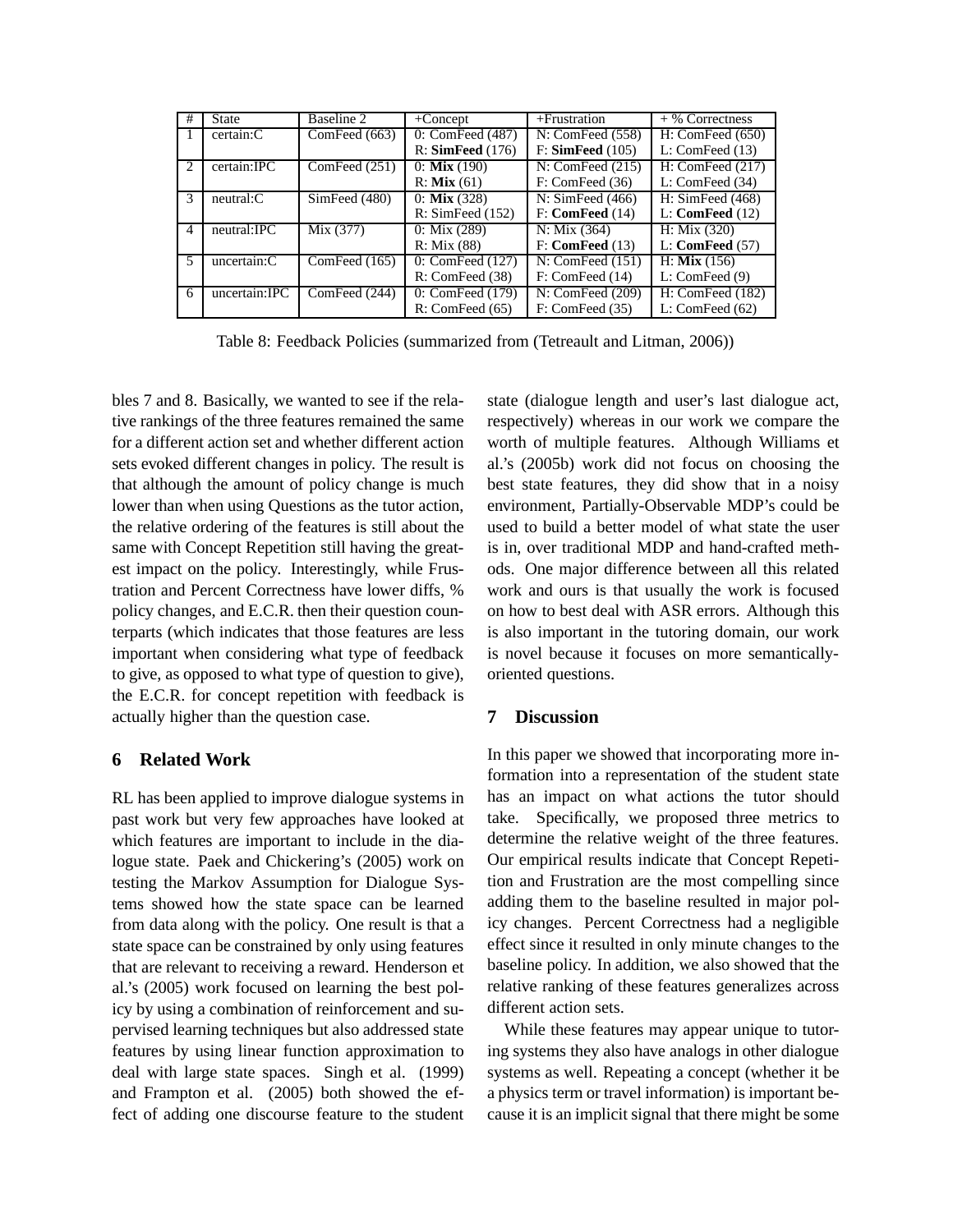| #             | <b>State</b>     | Baseline 2      | $+$ Concept                    | $+$ Frustration     | $+$ % Correctness   |
|---------------|------------------|-----------------|--------------------------------|---------------------|---------------------|
|               | certain:C        | ComFeed $(663)$ | 0: ComFeed (487)               | N: ComFeed (558)    | H: ComFeed (650)    |
|               |                  |                 | R: SimFeed (176)               | F: SimFeed (105)    | L: ComFeed (13)     |
| $\mathcal{D}$ | certain:IPC      | ComFeed (251)   | $0:$ Mix (190)                 | N: ComFeed (215)    | H: ComFeed (217)    |
|               |                  |                 | $R:$ Mix $(61)$                | F: ComFeed (36)     | L: ComFeed (34)     |
| $\mathcal{F}$ | $neutrals$ : $C$ | SimFeed (480)   | $0:$ Mix $(328)$               | N: SimFeed (466)    | H: SimFeed $(468)$  |
|               |                  |                 | R: SimFeed (152)               | F: ComFeed (14)     | $L:$ ComFeed $(12)$ |
| 4             | neutral:IPC      | Mix (377)       | $0: \text{Mix } (289)$         | N: Mix(364)         | H: Mix(320)         |
|               |                  |                 | R: Mix(88)                     | $F:$ ComFeed $(13)$ | $L:$ ComFeed $(57)$ |
| 5             | uncertain:C      | ComFeed $(165)$ | $\overline{0}$ : ComFeed (127) | N: ComFeed (151)    | $H:$ Mix $(156)$    |
|               |                  |                 | R: ComFeed (38)                | F: ComFeed (14)     | L: ComFeed(9)       |
| 6             | uncertain:IPC    | ComFeed (244)   | 0: ComFeed (179)               | N: ComFeed (209)    | H: ComFeed (182)    |
|               |                  |                 | R: ComFeed (65)                | F: ComFeed (35)     | L: ComFeed $(62)$   |

Table 8: Feedback Policies (summarized from (Tetreault and Litman, 2006))

bles 7 and 8. Basically, we wanted to see if the relative rankings of the three features remained the same for a different action set and whether different action sets evoked different changes in policy. The result is that although the amount of policy change is much lower than when using Questions as the tutor action, the relative ordering of the features is still about the same with Concept Repetition still having the greatest impact on the policy. Interestingly, while Frustration and Percent Correctness have lower diffs, % policy changes, and E.C.R. then their question counterparts (which indicates that those features are less important when considering what type of feedback to give, as opposed to what type of question to give), the E.C.R. for concept repetition with feedback is actually higher than the question case.

# **6 Related Work**

RL has been applied to improve dialogue systems in past work but very few approaches have looked at which features are important to include in the dialogue state. Paek and Chickering's (2005) work on testing the Markov Assumption for Dialogue Systems showed how the state space can be learned from data along with the policy. One result is that a state space can be constrained by only using features that are relevant to receiving a reward. Henderson et al.'s (2005) work focused on learning the best policy by using a combination of reinforcement and supervised learning techniques but also addressed state features by using linear function approximation to deal with large state spaces. Singh et al. (1999) and Frampton et al. (2005) both showed the effect of adding one discourse feature to the student

state (dialogue length and user's last dialogue act, respectively) whereas in our work we compare the worth of multiple features. Although Williams et al.'s (2005b) work did not focus on choosing the best state features, they did show that in a noisy environment, Partially-Observable MDP's could be used to build a better model of what state the user is in, over traditional MDP and hand-crafted methods. One major difference between all this related work and ours is that usually the work is focused on how to best deal with ASR errors. Although this is also important in the tutoring domain, our work is novel because it focuses on more semanticallyoriented questions.

# **7 Discussion**

In this paper we showed that incorporating more information into a representation of the student state has an impact on what actions the tutor should take. Specifically, we proposed three metrics to determine the relative weight of the three features. Our empirical results indicate that Concept Repetition and Frustration are the most compelling since adding them to the baseline resulted in major policy changes. Percent Correctness had a negligible effect since it resulted in only minute changes to the baseline policy. In addition, we also showed that the relative ranking of these features generalizes across different action sets.

While these features may appear unique to tutoring systems they also have analogs in other dialogue systems as well. Repeating a concept (whether it be a physics term or travel information) is important because it is an implicit signal that there might be some